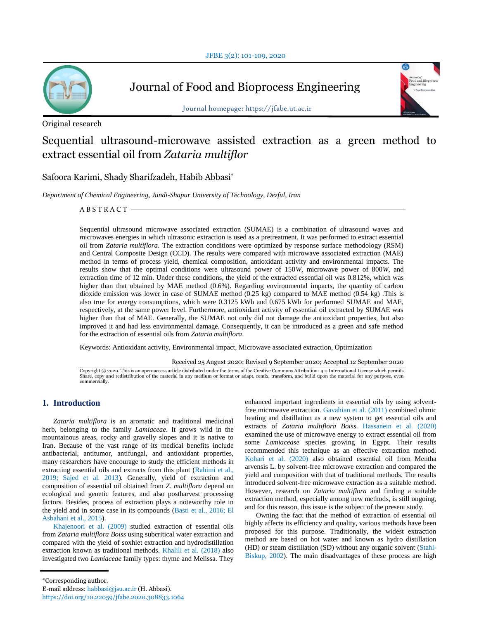

Journal of Food and Bioprocess Engineering

Original research

Journal homepage: https://jfabe.ut.ac.ir

# Sequential ultrasound-microwave assisted extraction as a green method to extract essential oil from *Zataria multiflor*

Safoora Karimi, Shady Sharifzadeh, Habib Abbasi\*

*Department of Chemical Engineering, Jundi-Shapur University of Technology, Dezful, Iran*

A B S T R A C T

Sequential ultrasound microwave associated extraction (SUMAE) is a combination of ultrasound waves and microwaves energies in which ultrasonic extraction is used as a pretreatment. It was performed to extract essential oil from *Zataria multiflora*. The extraction conditions were optimized by response surface methodology (RSM) and Central Composite Design (CCD). The results were compared with microwave associated extraction (MAE) method in terms of process yield, chemical composition, antioxidant activity and environmental impacts. The results show that the optimal conditions were ultrasound power of 150*W*, microwave power of 800*W*, and extraction time of 12 min. Under these conditions, the yield of the extracted essential oil was 0.812%, which was higher than that obtained by MAE method (0.6%). Regarding environmental impacts, the quantity of carbon dioxide emission was lower in case of SUMAE method (0.25 kg) compared to MAE method (0.54 kg) .This is also true for energy consumptions, which were 0.3125 kWh and 0.675 kWh for performed SUMAE and MAE, respectively, at the same power level. Furthermore, antioxidant activity of essential oil extracted by SUMAE was higher than that of MAE. Generally, the SUMAE not only did not damage the antioxidant properties, but also improved it and had less environmental damage. Consequently, it can be introduced as a green and safe method for the extraction of essential oils from *Zataria multiflora*.

Keywords: Antioxidant activity, Environmental impact, Microwave associated extraction, Optimization

Received 25 August 2020; Revised 9 September 2020; Accepted 12 September 2020

Copyright © 2020. This is an open-access article distributed under the terms of the Creative Commons Attribution- 4.0 International License which permits<br>Share, copy and redistribution of the material in any medium or form commercially.

# **1. Introduction**

*Zataria multiflora* is an aromatic and traditional medicinal herb, belonging to the family *Lamiaceae*. It grows wild in the mountainous areas, rocky and gravelly slopes and it is native to Iran. Because of the vast range of its medical benefits include antibacterial, antitumor, antifungal, and antioxidant properties, many researchers have encourage to study the efficient methods in extracting essential oils and extracts from this plant (Rahimi et al., 2019; Sajed et al. 2013). Generally, yield of extraction and composition of essential oil obtained from *Z. multiflora* depend on ecological and genetic features, and also postharvest processing factors. Besides, process of extraction plays a noteworthy role in the yield and in some case in its compounds (Basti et al., 2016; El Asbahani et al., 2015).

Khajenoori et al. (2009) studied extraction of essential oils from *Zataria multiflora Boiss* using subcritical water extraction and compared with the yield of soxhlet extraction and hydrodistillation extraction known as traditional methods. Khalili et al. (2018) also investigated two *Lamiaceae* family types: thyme and Melissa. They enhanced important ingredients in essential oils by using solventfree microwave extraction. Gavahian et al. (2011) combined ohmic heating and distillation as a new system to get essential oils and extracts of *Zataria multiflora Boiss*. Hassanein et al. (2020) examined the use of microwave energy to extract essential oil from some *Lamiacease* species growing in Egypt. Their results recommended this technique as an effective extraction method. Kohari et al. (2020) also obtained essential oil from Mentha arvensis L. by solvent-free microwave extraction and compared the yield and composition with that of traditional methods. The results introduced solvent-free microwave extraction as a suitable method. However, research on *Zataria multiflora* and finding a suitable extraction method, especially among new methods, is still ongoing, and for this reason, this issue is the subject of the present study.

Owning the fact that the method of extraction of essential oil highly affects its efficiency and quality, various methods have been proposed for this purpose. Traditionally, the widest extraction method are based on hot water and known as hydro distillation (HD) or steam distillation (SD) without any organic solvent (Stahl-Biskup, 2002). The main disadvantages of these process are high

E-mail address: habbasi@jsu.ac.ir (H. Abbasi).

https://doi.org/10.22059/jfabe.2020.308833.1064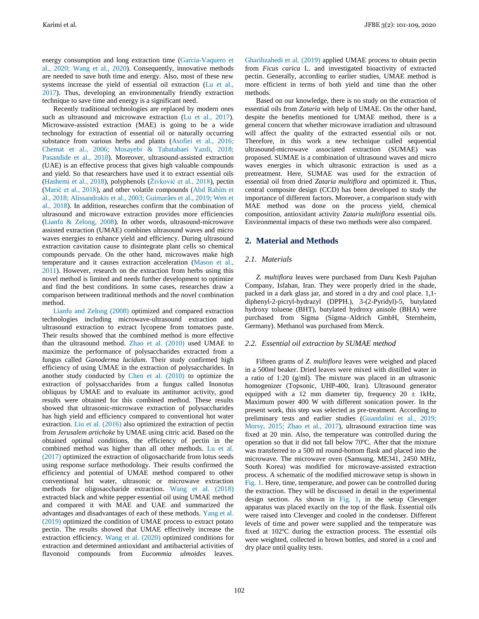Karimi et al. JFBE 3(2): 101-109, 2020

energy consumption and long extraction time (Garcia-Vaquero et al., 2020; Wang et al., 2020). Consequently, innovative methods are needed to save both time and energy. Also, most of these new systems increase the yield of essential oil extraction (Lu et al., 2017). Thus, developing an environmentally friendly extraction technique to save time and energy is a significant need.

Recently traditional technologies are replaced by modern ones such as ultrasound and microwave extraction (Lu et al., 2017). Microwave-assisted extraction (MAE) is going to be a wide technology for extraction of essential oil or naturally occurring substance from various herbs and plants (Asofiei et al., 2016; Chemat et al., 2006; Mosayebi & Tabatabaei Yazdi, 2018; Pasandide et al., 2018). Moreover, ultrasound-assisted extraction (UAE) is an effective process that gives high valuable compounds and yield. So that researchers have used it to extract essential oils (Hashemi et al., 2018), polyphenols (Živković et al., 2018), pectin (Marić et al., 2018), and other volatile compounds (Abd Rahim et al., 2018; Alissandrakis et al., 2003; Guimarães et al., 2019; Wen et al., 2018). In addition, researches confirm that the combination of ultrasound and microwave extraction provides more efficiencies (Lianfu & Zelong, 2008). In other words, ultrasound-microwave assisted extraction (UMAE) combines ultrasound waves and micro waves energies to enhance yield and efficiency. During ultrasound extraction cavitation cause to disintegrate plant cells so chemical compounds pervade. On the other hand, microwaves make high temperature and it causes extraction acceleration (Mason et al., 2011). However, research on the extraction from herbs using this novel method is limited and needs further development to optimize and find the best conditions. In some cases, researches draw a comparison between traditional methods and the novel combination method.

Lianfu and Zelong (2008) optimized and compared extraction technologies including microwave-ultrasound extraction and ultrasound extraction to extract lycopene from tomatoes paste. Their results showed that the combined method is more effective than the ultrasound method. Zhao et al. (2010) used UMAE to maximize the performance of polysaccharides extracted from a fungus called *Ganoderma lucidum*. Their study confirmed high efficiency of using UMAE in the extraction of polysaccharides. In another study conducted by Chen et al. (2010) to optimize the extraction of polysaccharides from a fungus called Inonotus obliquus by UMAE and to evaluate its antitumor activity, good results were obtained for this combined method. These results showed that ultrasonic-microwave extraction of polysaccharides has high yield and efficiency compared to conventional hot water extraction. Liu et al. (2016) also optimized the extraction of pectin from *Jerusalem artichoke* by UMAE using citric acid. Based on the obtained optimal conditions, the efficiency of pectin in the combined method was higher than all other methods. Lu et al. (2017) optimized the extraction of oligosaccharide from lotus seeds using response surface methodology. Their results confirmed the efficiency and potential of UMAE method compared to other conventional hot water, ultrasonic or microwave extraction methods for oligosaccharide extraction. Wang et al. (2018) extracted black and white pepper essential oil using UMAE method and compared it with MAE and UAE and summarized the advantages and disadvantages of each of these methods. Yang et al. (2019) optimized the condition of UMAE process to extract potato pectin. The results showed that UMAE effectively increase the extraction efficiency. Wang et al. (2020) optimized conditions for extraction and determined antioxidant and antibacterial activities of flavonoid compounds from *Eucommia ulmoides* leaves.

Gharibzahedi et al. (2019) applied UMAE process to obtain pectin from *Ficus carica* L. and investigated bioactivity of extracted pectin. Generally, according to earlier studies, UMAE method is more efficient in terms of both yield and time than the other methods.

Based on our knowledge, there is no study on the extraction of essential oils from *Zataria* with help of UMAE. On the other hand, despite the benefits mentioned for UMAE method, there is a general concern that whether microwave irradiation and ultrasound will affect the quality of the extracted essential oils or not. Therefore, in this work a new technique called sequential ultrasound-microwave associated extraction (SUMAE) was proposed. SUMAE is a combination of ultrasound waves and micro waves energies in which ultrasonic extraction is used as a pretreatment. Here, SUMAE was used for the extraction of essential oil from dried *Zataria multiflora* and optimized it. Thus, central composite design (CCD) has been developed to study the importance of different factors. Moreover, a comparison study with MAE method was done on the process yield, chemical composition, antioxidant activity *Zataria multiflora* essential oils. Environmental impacts of these two methods were also compared.

# **2. Material and Methods**

## *2.1. Materials*

*Z. multiflora* leaves were purchased from Daru Kesh Pajuhan Company, Isfahan, Iran. They were properly dried in the shade, packed in a dark glass jar, and stored in a dry and cool place. 1,1 diphenyl-2-picryl-hydrazyl (DPPH.), 3-(2-Pyridyl)-5, butylated hydroxy toluene (BHT), butylated hydroxy anisole (BHA) were purchased from Sigma (Sigma–Aldrich GmbH, Sternheim, Germany). Methanol was purchased from Merck.

#### *2.2. Essential oil extraction by SUMAE method*

Fifteen grams of *Z. multiflora* leaves were weighed and placed in a 500*ml* beaker. Dried leaves were mixed with distilled water in a ratio of 1:20 (g/ml). The mixture was placed in an ultrasonic homogenizer (Topsonic, UHP-400, Iran). Ultrasound generator equipped with a 12 mm diameter tip, frequency  $20 \pm 1$  kHz, Maximum power 400 W with different sonication power. In the present work, this step was selected as pre-treatment. According to preliminary tests and earlier studies (Guandalini et al., 2019; Morsy, 2015; Zhao et al., 2017), ultrasound extraction time was fixed at 20 min. Also, the temperature was controlled during the operation so that it did not fall below 70ºC. After that the mixture was transferred to a 500 ml round-bottom flask and placed into the microwave. The microwave oven (Samsung, ME341, 2450 MHz, South Korea) was modified for microwave-assisted extraction process. A schematic of the modified microwave setup is shown in Fig. 1. Here, time, temperature, and power can be controlled during the extraction. They will be discussed in detail in the experimental design section. As shown in Fig. 1, in the setup Clevenger apparatus was placed exactly on the top of the flask. Essential oils were raised into Clevenger and cooled in the condenser. Different levels of time and power were supplied and the temperature was fixed at 102ºC during the extraction process. The essential oils were weighted, collected in brown bottles, and stored in a cool and dry place until quality tests.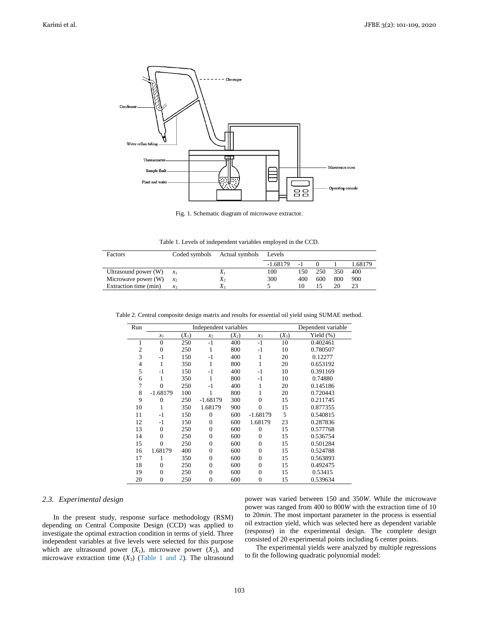

Fig. 1. Schematic diagram of microwave extractor.

|  | Table 1. Levels of independent variables employed in the CCD. |  |
|--|---------------------------------------------------------------|--|
|  |                                                               |  |

| Factors               | Coded symbols     | Actual symbols | Levels     |      |     |     |         |
|-----------------------|-------------------|----------------|------------|------|-----|-----|---------|
|                       |                   |                | $-1.68179$ | $-1$ |     |     | 1.68179 |
| Ultrasound power (W)  | $\mathcal{X}_1$   | $X_1$          | 100        | 150  | 250 | 350 | 400     |
| Microwave power (W)   | $\mathcal{X}_{2}$ | $X_2$          | 300        | 400  | 600 | 800 | 900     |
| Extraction time (min) | $\chi_3$          | $X_{3}$        |            | 10   |     | 20  | 23      |

| Run            | Independent variables |         |                   |         |                | Dependent variable |              |
|----------------|-----------------------|---------|-------------------|---------|----------------|--------------------|--------------|
|                | $x_1$                 | $(X_1)$ | $\mathcal{X}_{2}$ | $(X_2)$ | $x_3$          | $(X_3)$            | Yield $(\%)$ |
| 1              | $\mathbf{0}$          | 250     | $-1$              | 400     | $-1$           | 10                 | 0.402461     |
| $\overline{c}$ | $\theta$              | 250     | 1                 | 800     | $-1$           | 10                 | 0.780507     |
| 3              | $-1$                  | 150     | $-1$              | 400     | 1              | 20                 | 0.12277      |
| 4              | 1                     | 350     | 1                 | 800     | 1              | 20                 | 0.653192     |
| 5              | $-1$                  | 150     | $-1$              | 400     | $-1$           | 10                 | 0.391169     |
| 6              |                       | 350     | 1                 | 800     | $-1$           | 10                 | 0.74880      |
| 7              | $\theta$              | 250     | $-1$              | 400     | 1              | 20                 | 0.145186     |
| 8              | $-1.68179$            | 100     | 1                 | 800     |                | 20                 | 0.720443     |
| 9              | $\theta$              | 250     | $-1.68179$        | 300     | $\theta$       | 15                 | 0.211745     |
| 10             |                       | 350     | 1.68179           | 900     | $\theta$       | 15                 | 0.877355     |
| 11             | $-1$                  | 150     | $\theta$          | 600     | $-1.68179$     | 5                  | 0.540815     |
| 12             | $-1$                  | 150     | $\Omega$          | 600     | 1.68179        | 23                 | 0.287836     |
| 13             | $\Omega$              | 250     | $\theta$          | 600     | $\Omega$       | 15                 | 0.577768     |
| 14             | $\Omega$              | 250     | $\theta$          | 600     | $\theta$       | 15                 | 0.536754     |
| 15             | $\theta$              | 250     | $\theta$          | 600     | $\overline{0}$ | 15                 | 0.501284     |
| 16             | 1.68179               | 400     | $\theta$          | 600     | $\overline{0}$ | 15                 | 0.524788     |
| 17             |                       | 350     | $\theta$          | 600     | $\theta$       | 15                 | 0.563893     |
| 18             | $\theta$              | 250     | 0                 | 600     | $\theta$       | 15                 | 0.492475     |
| 19             | $\theta$              | 250     | $\theta$          | 600     | $\overline{0}$ | 15                 | 0.53415      |
| 20             | $\overline{0}$        | 250     | $\theta$          | 600     | $\overline{0}$ | 15                 | 0.539634     |

Table 2. Central composite design matrix and results for essential oil yield using SUMAE method.

## *2.3. Experimental design*

In the present study, response surface methodology (RSM) depending on Central Composite Design (CCD) was applied to investigate the optimal extraction condition in terms of yield. Three independent variables at five levels were selected for this purpose which are ultrasound power  $(X_1)$ , microwave power  $(X_2)$ , and microwave extraction time  $(X_3)$  (Table 1 and 2). The ultrasound power was varied between 150 and 350*W*. While the microwave power was ranged from 400 to 800*W* with the extraction time of 10 to 20*min*. The most important parameter in the process is essential oil extraction yield, which was selected here as dependent variable (response) in the experimental design. The complete design consisted of 20 experimental points including 6 center points.

The experimental yields were analyzed by multiple regressions to fit the following quadratic polynomial model: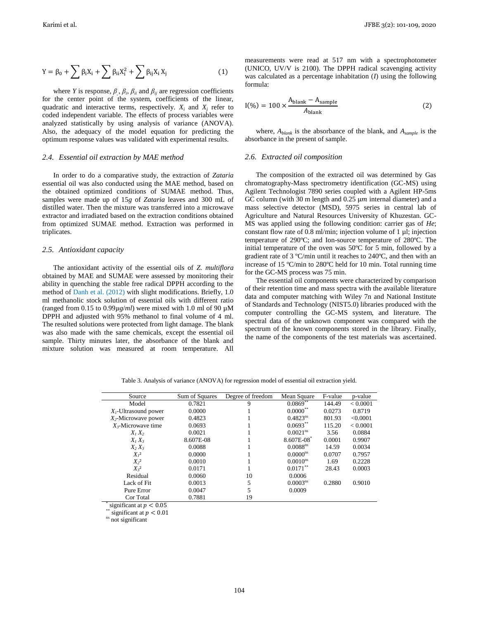$$
Y = \beta_0 + \sum \beta_i X_i + \sum \beta_{ii} X_i^2 + \sum \beta_{ij} X_i X_j \tag{1}
$$

where *Y* is response,  $\beta$ ,  $\beta$ <sub>*i*</sub>,  $\beta$ <sub>*ii*</sub> and  $\beta$ <sub>*ij*</sub> are regression coefficients for the center point of the system, coefficients of the linear, quadratic and interactive terms, respectively.  $X_i$  and  $X_j$  refer to coded independent variable. The effects of process variables were analyzed statistically by using analysis of variance (ANOVA). Also, the adequacy of the model equation for predicting the optimum response values was validated with experimental results.

#### *2.4. Essential oil extraction by MAE method*

In order to do a comparative study, the extraction of *Zataria* essential oil was also conducted using the MAE method, based on the obtained optimized conditions of SUMAE method. Thus, samples were made up of 15*g* of *Zataria* leaves and 300 mL of distilled water. Then the mixture was transferred into a microwave extractor and irradiated based on the extraction conditions obtained from optimized SUMAE method. Extraction was performed in triplicates.

#### *2.5. Antioxidant capacity*

The antioxidant activity of the essential oils of *Z. multiflora* obtained by MAE and SUMAE were assessed by monitoring their ability in quenching the stable free radical DPPH according to the method of Danh et al. (2012) with slight modifications. Briefly, 1.0 ml methanolic stock solution of essential oils with different ratio (ranged from 0.15 to 0.99*µg*/*ml*) were mixed with 1.0 ml of 90 µM DPPH and adjusted with 95% methanol to final volume of 4 ml. The resulted solutions were protected from light damage. The blank was also made with the same chemicals, except the essential oil sample. Thirty minutes later, the absorbance of the blank and mixture solution was measured at room temperature. All

measurements were read at 517 nm with a spectrophotometer (UNICO, UV/V is 2100). The DPPH radical scavenging activity was calculated as a percentage inhabitation (*I*) using the following formula:

$$
I(\%) = 100 \times \frac{A_{\text{blank}} - A_{\text{sample}}}{A_{\text{blank}}} \tag{2}
$$

where, *Ablank* is the absorbance of the blank, and *Asample* is the absorbance in the present of sample.

#### *2.6. Extracted oil composition*

The composition of the extracted oil was determined by Gas chromatography-Mass spectrometry identification (GC-MS) using Agilent Technologist 7890 series coupled with a Agilent HP-5ms GC column (with 30 m length and 0.25  $\mu$ m internal diameter) and a mass selective detector (MSD), 5975 series in central lab of Agriculture and Natural Resources University of Khuzestan. GC-MS was applied using the following condition: carrier gas of *He*; constant flow rate of 0.8 ml/min; injection volume of 1 µl; injection temperature of 290ºC; and Ion-source temperature of 280ºC. The initial temperature of the oven was 50ºC for 5 min, followed by a gradient rate of 3 ºC/min until it reaches to 240ºC, and then with an increase of 15 ºC/min to 280ºC held for 10 min. Total running time for the GC-MS process was 75 min.

The essential oil components were characterized by comparison of their retention time and mass spectra with the available literature data and computer matching with Wiley 7n and National Institute of Standards and Technology (NIST5.0) libraries produced with the computer controlling the GC-MS system, and literature. The spectral data of the unknown component was compared with the spectrum of the known components stored in the library. Finally, the name of the components of the test materials was ascertained.

| Source                      | Sum of Squares | Degree of freedom | Mean Square              | F-value | p-value  |
|-----------------------------|----------------|-------------------|--------------------------|---------|----------|
| Model                       | 0.7821         | 9                 | $0.0869$ <sup>**</sup>   | 144.49  | < 0.0001 |
| $X_i$ -Ultrasound power     | 0.0000         |                   | $0.0000^{**}$            | 0.0273  | 0.8719   |
| $X_2$ -Microwave power      | 0.4823         |                   | $0.4823^{ns}$            | 801.93  | < 0.0001 |
| $X3$ -Microwave time        | 0.0693         |                   | $0.0693**$               | 115.20  | < 0.0001 |
| $X_1 X_2$                   | 0.0021         |                   | 0.0021 <sup>ns</sup>     | 3.56    | 0.0884   |
| $X_1 X_3$                   | 8.607E-08      |                   | $8.607E-08$ <sup>*</sup> | 0.0001  | 0.9907   |
| $X_2 X_3$                   | 0.0088         |                   | 0.0088 <sup>ns</sup>     | 14.59   | 0.0034   |
| $X_i^2$                     | 0.0000         |                   | $0.0000^{ns}$            | 0.0707  | 0.7957   |
| $X_2^2$                     | 0.0010         |                   | $0.0010^{ns}$            | 1.69    | 0.2228   |
| X <sub>3</sub> <sup>2</sup> | 0.0171         |                   | $0.0171$ **              | 28.43   | 0.0003   |
| Residual                    | 0.0060         | 10                | 0.0006                   |         |          |
| Lack of Fit                 | 0.0013         | 5                 | 0.0003 <sup>ns</sup>     | 0.2880  | 0.9010   |
| Pure Error                  | 0.0047         | 5                 | 0.0009                   |         |          |
| Cor Total                   | 0.7881         | 19                |                          |         |          |

Table 3. Analysis of variance (ANOVA) for regression model of essential oil extraction yield.

\* significant at

significant at  $p < 0.01$ 

<sup>ns</sup> not significant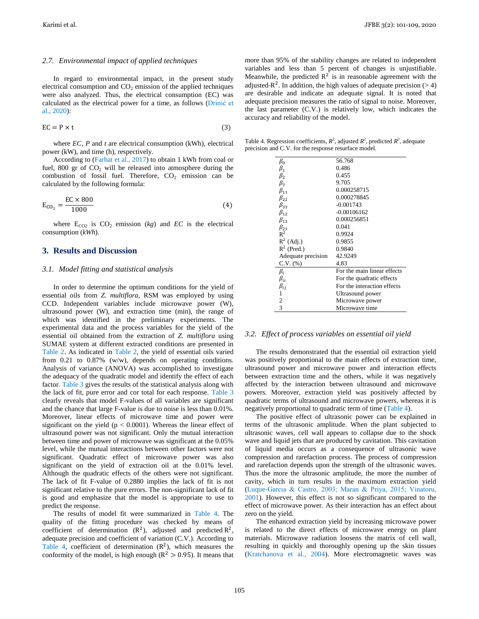#### *2.7. Environmental impact of applied techniques*

In regard to environmental impact, in the present study electrical consumption and  $CO<sub>2</sub>$  emission of the applied techniques were also analyzed. Thus, the electrical consumption (EC) was calculated as the electrical power for a time, as follows (Drinić et al., 2020):

$$
EC = P \times t \tag{3}
$$

where *EC*, *P* and *t* are electrical consumption (kWh), electrical power (kW), and time (h), respectively.

According to (Farhat et al., 2017) to obtain 1 kWh from coal or fuel,  $800$  gr of  $CO<sub>2</sub>$  will be released into atmosphere during the combustion of fossil fuel. Therefore,  $CO<sub>2</sub>$  emission can be calculated by the following formula:

$$
E_{CO_2} = \frac{EC \times 800}{1000} \tag{4}
$$

where  $E_{CO2}$  is  $CO_2$  emission (*kg*) and *EC* is the electrical consumption (*kWh*).

## **3. Results and Discussion**

#### *3.1. Model fitting and statistical analysis*

In order to determine the optimum conditions for the yield of essential oils from *Z. multiflora*, RSM was employed by using CCD. Independent variables include microwave power (W), ultrasound power (W), and extraction time (min), the range of which was identified in the preliminary experiments. The experimental data and the process variables for the yield of the essential oil obtained from the extraction of *Z. multiflora* using SUMAE system at different extracted conditions are presented in Table 2. As indicated in Table 2, the yield of essential oils varied from 0.21 to 0.87% (w/w), depends on operating conditions. Analysis of variance (ANOVA) was accomplished to investigate the adequacy of the quadratic model and identify the effect of each factor. Table 3 gives the results of the statistical analysis along with the lack of fit, pure error and cor total for each response. Table 3 clearly reveals that model F-values of all variables are significant and the chance that large F-value is due to noise is less than 0.01%. Moreover, linear effects of microwave time and power were significant on the yield ( $p < 0.0001$ ). Whereas the linear effect of ultrasound power was not significant. Only the mutual interaction between time and power of microwave was significant at the 0.05% level, while the mutual interactions between other factors were not significant. Quadratic effect of microwave power was also significant on the yield of extraction oil at the 0.01% level. Although the quadratic effects of the others were not significant. The lack of fit F-value of 0.2880 implies the lack of fit is not significant relative to the pure errors. The non-significant lack of fit is good and emphasize that the model is appropriate to use to predict the response.

The results of model fit were summarized in Table 4. The quality of the fitting procedure was checked by means of coefficient of determination  $(R^2)$ , adjusted and predicted  $R^2$ , adequate precision and coefficient of variation (C.V.). According to Table 4, coefficient of determination  $(R^2)$ , which measures the conformity of the model, is high enough ( $R^2 > 0.95$ ). It means that more than 95% of the stability changes are related to independent variables and less than 5 percent of changes is unjustifiable. Meanwhile, the predicted  $\mathbb{R}^2$  is in reasonable agreement with the adjusted- $R^2$ . In addition, the high values of adequate precision (> 4) are desirable and indicate an adequate signal. It is noted that adequate precision measures the ratio of signal to noise. Moreover, the last parameter (C.V.) is relatively low, which indicates the accuracy and reliability of the model.

Table 4. Regression coefficients,  $R^2$ , adjusted  $R^2$ , predicted  $R^2$ , adequate precision and C.V. for the response resurface model.

|                    | 56.768                                                                                                                                                                   |
|--------------------|--------------------------------------------------------------------------------------------------------------------------------------------------------------------------|
| $\beta_{1}$        | 0.486                                                                                                                                                                    |
| $\beta_{2}$        | 0.455                                                                                                                                                                    |
|                    | 9.705                                                                                                                                                                    |
|                    | 0.000258715                                                                                                                                                              |
|                    | 0.000278845                                                                                                                                                              |
|                    | $-0.001743$                                                                                                                                                              |
|                    | $-0.00106162$                                                                                                                                                            |
|                    | 0.000256851                                                                                                                                                              |
|                    | 0.041                                                                                                                                                                    |
| $R^2$              | 0.9924                                                                                                                                                                   |
|                    | 0.9855                                                                                                                                                                   |
| $R^2$ (Pred.)      | 0.9840                                                                                                                                                                   |
| Adequate precision | 42.9249                                                                                                                                                                  |
| $C.V.$ $%$         | 4.83                                                                                                                                                                     |
| $\beta_i$          | For the main linear effects                                                                                                                                              |
|                    | For the quadratic effects                                                                                                                                                |
|                    | For the interaction effects                                                                                                                                              |
| 1                  | Ultrasound power                                                                                                                                                         |
| 2                  | Microwave power                                                                                                                                                          |
| 3                  | Microwave time                                                                                                                                                           |
|                    | $\beta_{0}$<br>$\beta_3$<br>$\beta_{11}$<br>$\beta_{22}$<br>$\beta_{33}$<br>$\beta_{12}$<br>$\beta_{13}$<br>$\beta_{23}$<br>$R^2$ (Adj.)<br>$\beta_{ii}$<br>$\beta_{ij}$ |

## *3.2. Effect of process variables on essential oil yield*

The results demonstrated that the essential oil extraction yield was positively proportional to the main effects of extraction time, ultrasound power and microwave power and interaction effects between extraction time and the others, while it was negatively affected by the interaction between ultrasound and microwave powers. Moreover, extraction yield was positively affected by quadratic terms of ultrasound and microwave powers, whereas it is negatively proportional to quadratic term of time (Table 4).

The positive effect of ultrasonic power can be explained in terms of the ultrasonic amplitude. When the plant subjected to ultrasonic waves, cell wall appears to collapse due to the shock wave and liquid jets that are produced by cavitation. This cavitation of liquid media occurs as a consequence of ultrasonic wave compression and rarefaction process. The process of compression and rarefaction depends upon the strength of the ultrasonic waves. Thus the more the ultrasonic amplitude, the more the number of cavity, which in turn results in the maximum extraction yield (Luque-Garcıa & Castro, 2003; Maran & Priya, 2015; Vinatoru, 2001). However, this effect is not so significant compared to the effect of microwave power. As their interaction has an effect about zero on the yield.

The enhanced extraction yield by increasing microwave power is related to the direct effects of microwave energy on plant materials. Microwave radiation loosens the matrix of cell wall, resulting in quickly and thoroughly opening up the skin tissues (Kratchanova et al., 2004). More electromagnetic waves was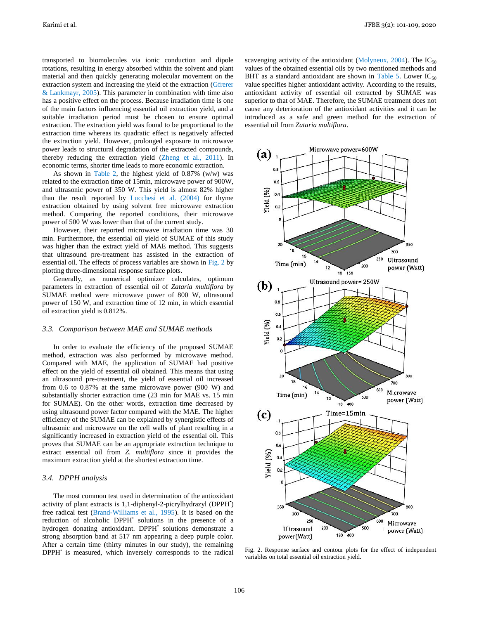transported to biomolecules via ionic conduction and dipole rotations, resulting in energy absorbed within the solvent and plant material and then quickly generating molecular movement on the extraction system and increasing the yield of the extraction (Gfrerer & Lankmayr, 2005). This parameter in combination with time also has a positive effect on the process. Because irradiation time is one of the main factors influencing essential oil extraction yield, and a suitable irradiation period must be chosen to ensure optimal extraction. The extraction yield was found to be proportional to the extraction time whereas its quadratic effect is negatively affected the extraction yield. However, prolonged exposure to microwave power leads to structural degradation of the extracted compounds, thereby reducing the extraction yield (Zheng et al., 2011). In economic terms, shorter time leads to more economic extraction.

As shown in Table 2, the highest yield of 0.87% (w/w) was related to the extraction time of 15min, microwave power of 900W, and ultrasonic power of 350 W. This yield is almost 82% higher than the result reported by Lucchesi et al. (2004) for thyme extraction obtained by using solvent free microwave extraction method. Comparing the reported conditions, their microwave power of 500 W was lower than that of the current study.

However, their reported microwave irradiation time was 30 min. Furthermore, the essential oil yield of SUMAE of this study was higher than the extract yield of MAE method. This suggests that ultrasound pre-treatment has assisted in the extraction of essential oil. The effects of process variables are shown in Fig. 2 by plotting three-dimensional response surface plots.

Generally, as numerical optimizer calculates, optimum parameters in extraction of essential oil of *Zataria multiflora* by SUMAE method were microwave power of 800 W, ultrasound power of 150 W, and extraction time of 12 min, in which essential oil extraction yield is 0.812%.

#### *3.3. Comparison between MAE and SUMAE methods*

In order to evaluate the efficiency of the proposed SUMAE method, extraction was also performed by microwave method. Compared with MAE, the application of SUMAE had positive effect on the yield of essential oil obtained. This means that using an ultrasound pre-treatment, the yield of essential oil increased from 0.6 to 0.87% at the same microwave power (900 W) and substantially shorter extraction time (23 min for MAE vs. 15 min for SUMAE). On the other words, extraction time decreased by using ultrasound power factor compared with the MAE. The higher efficiency of the SUMAE can be explained by synergistic effects of ultrasonic and microwave on the cell walls of plant resulting in a significantly increased in extraction yield of the essential oil. This proves that SUMAE can be an appropriate extraction technique to extract essential oil from *Z. multiflora* since it provides the maximum extraction yield at the shortest extraction time.

#### *3.4. DPPH analysis*

The most common test used in determination of the antioxidant activity of plant extracts is 1,1-diphenyl-2-picrylhydrazyl (DPPH<sup>\*</sup>) free radical test (Brand-Williams et al., 1995). It is based on the reduction of alcoholic DPPH' solutions in the presence of a hydrogen donating antioxidant. DPPH' solutions demonstrate a strong absorption band at 517 nm appearing a deep purple color. After a certain time (thirty minutes in our study), the remaining DPPH<sup>\*</sup> is measured, which inversely corresponds to the radical scavenging activity of the antioxidant (Molyneux, 2004). The  $IC_{50}$ values of the obtained essential oils by two mentioned methods and BHT as a standard antioxidant are shown in Table 5. Lower  $IC_{50}$ value specifies higher antioxidant activity. According to the results, antioxidant activity of essential oil extracted by SUMAE was superior to that of MAE. Therefore, the SUMAE treatment does not cause any deterioration of the antioxidant activities and it can be introduced as a safe and green method for the extraction of essential oil from *Zataria multiflora*.



Fig. 2. Response surface and contour plots for the effect of independent variables on total essential oil extraction yield.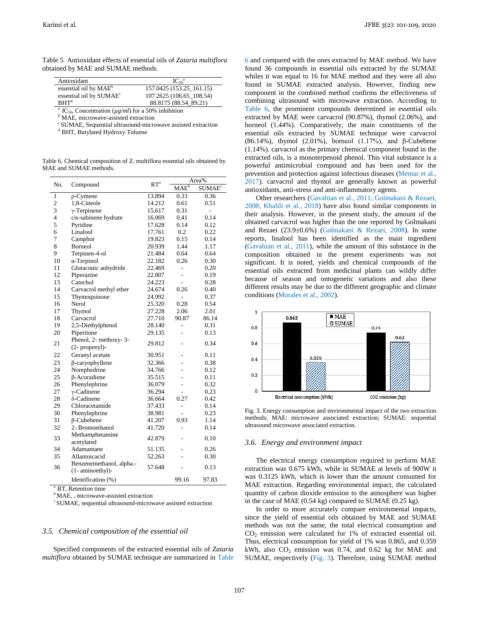Table 5. Antioxidant effects of essential oils of *Zataria multiflora* obtained by MAE and SUMAE methods.

| Antioxidant                                                                               | $IC_{50}$ <sup>a</sup>   |  |  |
|-------------------------------------------------------------------------------------------|--------------------------|--|--|
| essential oil by MAE <sup>b</sup>                                                         | 157.0425 (153.25 161.15) |  |  |
| essential oil by SUMAE <sup>c</sup>                                                       | 107.2625 (106.65 108.54) |  |  |
| RHT <sup>d</sup>                                                                          | 88.8175 (88.54_89.21)    |  |  |
| <sup>a</sup> IC <sub>50</sub> , Concentration ( $\mu$ g/ <i>ml</i> ) for a 50% inhibition |                          |  |  |

**b** MAE, microwave-assisted extraction

 $\textdegree$ SUMAE, Sequential ultrasound-microwave assisted extraction

<sup>d</sup> BHT, Butylated Hydroxy Toluene

Table 6. Chemical composition of Z. multiflora essential oils obtained by MAE and SUMAE methods.

| No.            |                          | $RT^a$ | Area%                    |                    |  |
|----------------|--------------------------|--------|--------------------------|--------------------|--|
|                | Compound                 |        | MAE <sup>b</sup>         | SUMAE <sup>c</sup> |  |
| 1              | $\rho$ -Cymene           | 13.894 | 0.33                     | 0.36               |  |
| $\overline{2}$ | 1,8-Cineole              | 14.212 | 0.61                     | 0.51               |  |
| 3              | $\gamma$ -Terpinene      | 15.617 | 0.31                     | $\overline{a}$     |  |
| $\overline{4}$ | cis-sabinene hydrate     | 16.069 | 0.41                     | 0.14               |  |
| 5              | Pyridine                 | 17.628 | 0.14                     | 0.12               |  |
| 6              | Linalool                 | 17.761 | 0.2                      | 0.22               |  |
| 7              | Camphor                  | 19.823 | 0.15                     | 0.14               |  |
| 8              | Borneol                  | 20.939 | 1.44                     | 1.17               |  |
| 9              | Terpinen-4-ol            | 21.484 | 0.64                     | 0.64               |  |
| 10             | $\alpha$ -Terpinol       | 22.182 | 0.26                     | 0.30               |  |
| 11             | Glutaconic anhydride     | 22.469 | $\overline{a}$           | 0.20               |  |
| 12             | Piperazine               | 22.807 | $\overline{a}$           | 0.19               |  |
| 13             | Catechol                 | 24.223 |                          | 0.28               |  |
| 14             | Carvacrol methyl ether   | 24.674 | 0.26                     | 0.40               |  |
| 15             | Thymoquinone             | 24.992 |                          | 0.37               |  |
| 16             | Nerol                    | 25.320 | 0.28                     | 0.54               |  |
| 17             | Thymol                   | 27.228 | 2.06                     | 2.01               |  |
| 18             | Carvacrol                | 27.710 | 90.87                    | 86.14              |  |
| 19             | 2,5-Diethylphenol        | 28.140 | $\overline{a}$           | 0.31               |  |
| 20             | Piperitone               | 29.135 |                          | 0.13               |  |
|                | Phenol, 2- methoxy-3-    |        |                          |                    |  |
| 21             | (2- propenyl)-           | 29.812 | $\overline{a}$           | 0.34               |  |
| 22             | Geranyl acetate          | 30.951 |                          | 0.11               |  |
| 23             | β-caryophyllene          | 32.366 |                          | 0.38               |  |
| 24             | Norephedrine             | 34.766 |                          | 0.12               |  |
| 25             | β-Acoradiene             | 35.515 |                          | 0.11               |  |
| 26             | Phenylephrine            | 36.079 | $\overline{a}$           | 0.32               |  |
| 27             | $\gamma$ -Cadinene       | 36.294 |                          | 0.23               |  |
| 28             | δ-Cadinene               | 36.664 | 0.27                     | 0.42               |  |
| 29             | Chloracetamide           | 37.433 | $\overline{a}$           | 0.14               |  |
| 30             | Phenylephrine            | 38.981 |                          | 0.23               |  |
| 31             | $\beta$ -Cubebene        | 41.207 | 0.93                     | 1.14               |  |
| 32             | 2- Bromoethanol          | 41.720 |                          | 0.14               |  |
|                | Methamphetamine          |        |                          |                    |  |
| 33             | acetylated               | 42.879 | $\overline{\phantom{0}}$ | 0.10               |  |
| 34             | Adamantane               | 51.135 |                          | 0.26               |  |
| 35             | Allantoicacid            | 52.263 |                          | 0.30               |  |
|                | Benzenemethanol, alpha.- |        |                          |                    |  |
| 36             | (1- aminoethyl)-         | 57.648 | $\overline{a}$           | 0.13               |  |
|                | Identification (%)       |        | 99.16                    | 97.83              |  |

<sup>a</sup> RT, Retention time

<sup>b</sup>MAE, microwave-assisted extraction

<sup>c</sup>SUMAE, sequential ultrasound-microwave assisted extraction

#### *3.5. Chemical composition of the essential oil*

Specified components of the extracted essential oils of *Zataria multiflora* obtained by SUMAE technique are summarized in Table 6 and compared with the ones extracted by MAE method. We have found 36 compounds in essential oils extracted by the SUMAE whiles it was equal to 16 for MAE method and they were all also found in SUMAE extracted analysis. However, finding new component in the combined method confirms the effectiveness of combining ultrasound with microwave extraction. According to Table 6, the prominent compounds determined in essential oils extracted by MAE were carvacrol (90.87%), thymol (2.06%), and borneol (1.44%). Comparatively, the main constituents of the essential oils extracted by SUMAE technique were carvacrol (86.14%), thymol (2.01%), borneol (1.17%), and  $\beta$ -Cubebene (1.14%). carvacrol as the primary chemical component found in the extracted oils, is a monoterpenoid phenol. This vital substance is a powerful antimicrobial compound and has been used for the prevention and protection against infectious diseases (Memar et al., 2017). carvacrol and thymol are generally known as powerful antioxidants, anti-stress and anti-inflammatory agents.

Other researchers (Gavahian et al., 2011; Golmakani & Rezaei, 2008; Khalili et al., 2018) have also found similar components in their analysis. However, in the present study, the amount of the obtained carvacrol was higher than the one reported by Golmakani and Rezaei (23.9±0.6%) (Golmakani & Rezaei, 2008). In some reports, linalool has been identified as the main ingredient (Gavahian et al., 2011), while the amount of this substance in the composition obtained in the present experiments was not significant. It is noted, yields and chemical compounds of the essential oils extracted from medicinal plants can wildly differ because of season and ontogenetic variations and also these different results may be due to the different geographic and climate conditions (Morales et al., 2002).



Fig. 3. Energy consumption and environmental impact of the two extraction methods; MAE: microwave associated extraction; SUMAE: sequential ultrasound microwave associated extraction.

#### *3.6. Energy and environment impact*

The electrical energy consumption required to perform MAE extraction was 0.675 kWh, while in SUMAE at levels of 900W it was 0.3125 kWh, which is lower than the amount consumed for MAE extraction. Regarding environmental impact, the calculated quantity of carbon dioxide emission to the atmosphere was higher in the case of MAE (0.54 kg) compared to SUMAE (0.25 kg).

In order to more accurately compare environmental impacts, since the yield of essential oils obtained by MAE and SUMAE methods was not the same, the total electrical consumption and  $CO<sub>2</sub>$  emission were calculated for 1% of extracted essential oil. Thus, electrical consumption for yield of 1% was 0.865, and 0.359 kWh, also  $CO<sub>2</sub>$  emission was 0.74, and 0.62 kg for MAE and SUMAE, respectively (Fig. 3). Therefore, using SUMAE method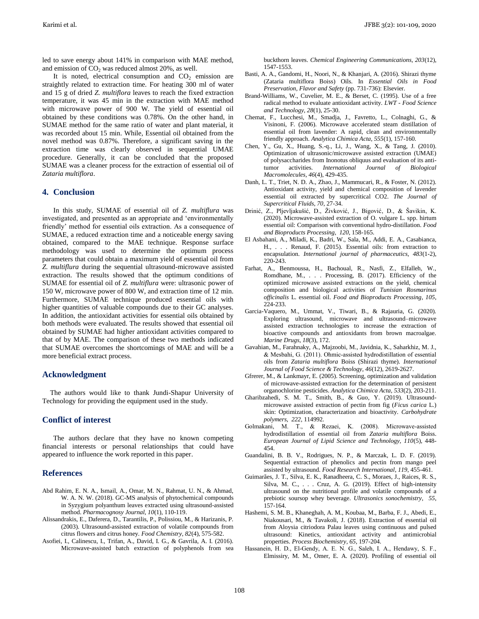led to save energy about 141% in comparison with MAE method, and emission of  $CO<sub>2</sub>$  was reduced almost 20%, as well.

It is noted, electrical consumption and  $CO<sub>2</sub>$  emission are straightly related to extraction time. For heating 300 ml of water and 15 g of dried *Z. multiflora* leaves to reach the fixed extraction temperature, it was 45 min in the extraction with MAE method with microwave power of 900 W. The yield of essential oil obtained by these conditions was 0.78%. On the other hand, in SUMAE method for the same ratio of water and plant material, it was recorded about 15 min. While, Essential oil obtained from the novel method was 0.87%. Therefore, a significant saving in the extraction time was clearly observed in sequential UMAE procedure. Generally, it can be concluded that the proposed SUMAE was a cleaner process for the extraction of essential oil of *Zataria multiflora*.

# **4. Conclusion**

In this study, SUMAE of essential oil of *Z. multiflura* was investigated, and presented as an appropriate and 'environmentally friendly' method for essential oils extraction. As a consequence of SUMAE, a reduced extraction time and a noticeable energy saving obtained, compared to the MAE technique. Response surface methodology was used to determine the optimum process parameters that could obtain a maximum yield of essential oil from *Z. multiflura* during the sequential ultrasound-microwave assisted extraction. The results showed that the optimum conditions of SUMAE for essential oil of *Z. multiflura* were: ultrasonic power of 150 W, microwave power of 800 W, and extraction time of 12 min. Furthermore, SUMAE technique produced essential oils with higher quantities of valuable compounds due to their GC analyses. In addition, the antioxidant activities for essential oils obtained by both methods were evaluated. The results showed that essential oil obtained by SUMAE had higher antioxidant activities compared to that of by MAE. The comparison of these two methods indicated that SUMAE overcomes the shortcomings of MAE and will be a more beneficial extract process.

## **Acknowledgment**

The authors would like to thank Jundi-Shapur University of Technology for providing the equipment used in the study.

## **Conflict of interest**

The authors declare that they have no known competing financial interests or personal relationships that could have appeared to influence the work reported in this paper.

# **References**

- Abd Rahim, E. N. A., Ismail, A., Omar, M. N., Rahmat, U. N., & Ahmad, W. A. N. W. (2018). GC-MS analysis of phytochemical compounds in Syzygium polyanthum leaves extracted using ultrasound-assisted method. *Pharmacognosy Journal*, *10*(1), 110-119.
- Alissandrakis, E., Daferera, D., Tarantilis, P., Polissiou, M., & Harizanis, P. (2003). Ultrasound-assisted extraction of volatile compounds from citrus flowers and citrus honey. *Food Chemistry, 82*(4), 575-582.
- Asofiei, I., Calinescu, I., Trifan, A., David, I. G., & Gavrila, A. I. (2016). Microwave-assisted batch extraction of polyphenols from sea

buckthorn leaves. *Chemical Engineering Communications, 203*(12), 1547-1553.

- Basti, A. A., Gandomi, H., Noori, N., & Khanjari, A. (2016). Shirazi thyme (Zataria multiflora Boiss) Oils. In *Essential Oils in Food Preservation, Flavor and Safety* (pp. 731-736): Elsevier.
- Brand-Williams, W., Cuvelier, M. E., & Berset, C. (1995). Use of a free radical method to evaluate antioxidant activity. *LWT - Food Science and Technology, 28*(1), 25-30.
- Chemat, F., Lucchesi, M., Smadja, J., Favretto, L., Colnaghi, G., & Visinoni, F. (2006). Microwave accelerated steam distillation of essential oil from lavender: A rapid, clean and environmentally friendly approach. *Analytica Chimica Acta, 555*(1), 157-160.
- Chen, Y., Gu, X., Huang, S.-q., Li, J., Wang, X., & Tang, J. (2010). Optimization of ultrasonic/microwave assisted extraction (UMAE) of polysaccharides from Inonotus obliquus and evaluation of its antitumor activities. *International Journal of Biological Macromolecules, 46*(4), 429-435.
- Danh, L. T., Triet, N. D. A., Zhao, J., Mammucari, R., & Foster, N. (2012). Antioxidant activity, yield and chemical composition of lavender essential oil extracted by supercritical CO2. *The Journal of Supercritical Fluids, 70*, 27-34.
- Drinić, Z., Pljevljakušić, D., Živković, J., Bigović, D., & Šavikin, K. (2020). Microwave-assisted extraction of O. vulgare L. spp. hirtum essential oil: Comparison with conventional hydro-distillation. *Food and Bioproducts Processing*, *120*, 158-165.
- El Asbahani, A., Miladi, K., Badri, W., Sala, M., Addi, E. A., Casabianca, H., . . . Renaud, F. (2015). Essential oils: from extraction to encapsulation. *International journal of pharmaceutics, 483*(1-2), 220-243.
- Farhat, A., Benmoussa, H., Bachoual, R., Nasfi, Z., Elfalleh, W., Romdhane, M., . . . Processing, B. (2017). Efficiency of the optimized microwave assisted extractions on the yield, chemical composition and biological activities of *Tunisian Rosmarinus officinalis* L. essential oil. *Food and Bioproducts Processing*, *105*, 224-233.
- Garcia-Vaquero, M., Ummat, V., Tiwari, B., & Rajauria, G. (2020). Exploring ultrasound, microwave and ultrasound–microwave assisted extraction technologies to increase the extraction of bioactive compounds and antioxidants from brown macroalgae. *Marine Drugs*, *18*(3), 172.
- Gavahian, M., Farahnaky, A., Majzoobi, M., Javidnia, K., Saharkhiz, M. J., & Mesbahi, G. (2011). Ohmic‐assisted hydrodistillation of essential oils from *Zataria multiflora* Boiss (Shirazi thyme). *International Journal of Food Science & Technology, 46*(12), 2619-2627.
- Gfrerer, M., & Lankmayr, E. (2005). Screening, optimization and validation of microwave-assisted extraction for the determination of persistent organochlorine pesticides. *Analytica Chimica Acta*, *533*(2), 203-211.
- Gharibzahedi, S. M. T., Smith, B., & Guo, Y. (2019). Ultrasoundmicrowave assisted extraction of pectin from fig (*Ficus carica* L.) skin: Optimization, characterization and bioactivity. *Carbohydrate polymers*, *222*, 114992.
- Golmakani, M. T., & Rezaei, K. (2008). Microwave‐assisted hydrodistillation of essential oil from *Zataria multiflora* Boiss. *European Journal of Lipid Science and Technology, 110*(5), 448- 454.
- Guandalini, B. B. V., Rodrigues, N. P., & Marczak, L. D. F. (2019). Sequential extraction of phenolics and pectin from mango peel assisted by ultrasound. *Food Research International*, *119*, 455-461.
- Guimarães, J. T., Silva, E. K., Ranadheera, C. S., Moraes, J., Raices, R. S., Silva, M. C., . . . Cruz, A. G. (2019). Effect of high-intensity ultrasound on the nutritional profile and volatile compounds of a prebiotic soursop whey beverage. *Ultrasonics sonochemistry*, *55*, 157-164.
- Hashemi, S. M. B., Khaneghah, A. M., Koubaa, M., Barba, F. J., Abedi, E., Niakousari, M., & Tavakoli, J. (2018). Extraction of essential oil from Aloysia citriodora Palau leaves using continuous and pulsed ultrasound: Kinetics, antioxidant activity and antimicrobial properties. *Process Biochemistry*, *65*, 197-204.
- Hassanein, H. D., El‐Gendy, A. E. N. G., Saleh, I. A., Hendawy, S. F., Elmissiry, M. M., Omer, E. A. (2020). Profiling of essential oil